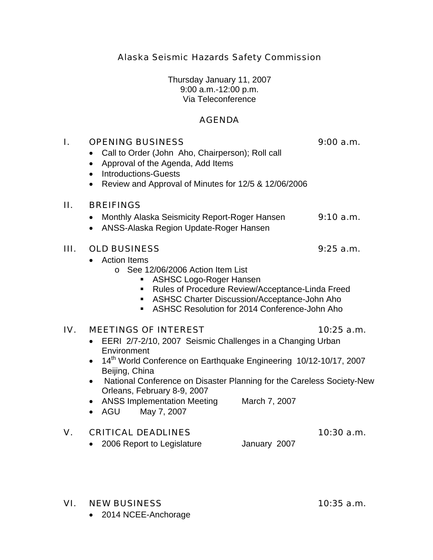Alaska Seismic Hazards Safety Commission

Thursday January 11, 2007 9:00 a.m.-12:00 p.m. Via Teleconference

## AGENDA

| I.  | <b>OPENING BUSINESS</b><br>9:00 a.m.<br>Call to Order (John Aho, Chairperson); Roll call<br>٠<br>Approval of the Agenda, Add Items<br>$\bullet$<br><b>Introductions-Guests</b><br>$\bullet$<br>Review and Approval of Minutes for 12/5 & 12/06/2006<br>$\bullet$                                                                                                                                                                                        |                                                                                                                                                   |              |
|-----|---------------------------------------------------------------------------------------------------------------------------------------------------------------------------------------------------------------------------------------------------------------------------------------------------------------------------------------------------------------------------------------------------------------------------------------------------------|---------------------------------------------------------------------------------------------------------------------------------------------------|--------------|
| П.  | <b>BREIFINGS</b><br>Monthly Alaska Seismicity Report-Roger Hansen<br>$\bullet$<br>ANSS-Alaska Region Update-Roger Hansen<br>$\bullet$                                                                                                                                                                                                                                                                                                                   |                                                                                                                                                   | 9:10 a.m.    |
| Ш.  | <b>OLD BUSINESS</b><br><b>Action Items</b><br>○ See 12/06/2006 Action Item List<br><b>ASHSC Logo-Roger Hansen</b><br>٠<br>п<br>п.                                                                                                                                                                                                                                                                                                                       | Rules of Procedure Review/Acceptance-Linda Freed<br>ASHSC Charter Discussion/Acceptance-John Aho<br>ASHSC Resolution for 2014 Conference-John Aho | $9:25$ a.m.  |
| IV. | <b>MEETINGS OF INTEREST</b><br>$10:25$ a.m.<br>EERI 2/7-2/10, 2007 Seismic Challenges in a Changing Urban<br>Environment<br>14 <sup>th</sup> World Conference on Earthquake Engineering 10/12-10/17, 2007<br>Beijing, China<br>National Conference on Disaster Planning for the Careless Society-New<br>$\bullet$<br>Orleans, February 8-9, 2007<br><b>ANSS Implementation Meeting</b><br>March 7, 2007<br>$\bullet$<br>AGU<br>May 7, 2007<br>$\bullet$ |                                                                                                                                                   |              |
| V.  | <b>CRITICAL DEADLINES</b><br>2006 Report to Legislature<br>$\bullet$                                                                                                                                                                                                                                                                                                                                                                                    | January 2007                                                                                                                                      | $10:30$ a.m. |

### VI. NEW BUSINESS 10:35 a.m.

• 2014 NCEE-Anchorage